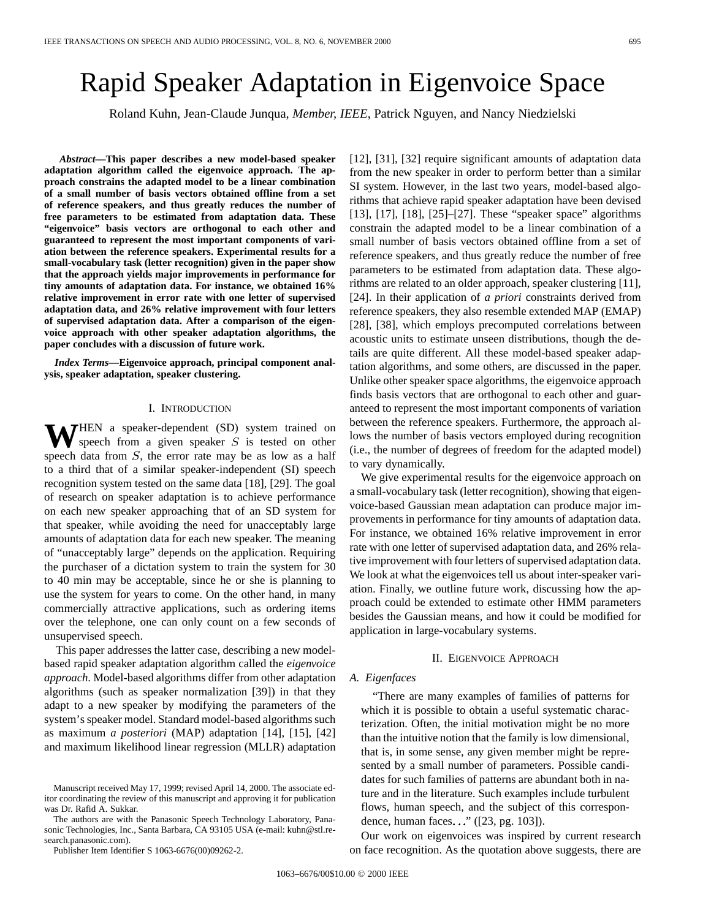# Rapid Speaker Adaptation in Eigenvoice Space

Roland Kuhn, Jean-Claude Junqua*, Member, IEEE*, Patrick Nguyen, and Nancy Niedzielski

*Abstract—***This paper describes a new model-based speaker adaptation algorithm called the eigenvoice approach. The approach constrains the adapted model to be a linear combination of a small number of basis vectors obtained offline from a set of reference speakers, and thus greatly reduces the number of free parameters to be estimated from adaptation data. These "eigenvoice" basis vectors are orthogonal to each other and guaranteed to represent the most important components of variation between the reference speakers. Experimental results for a small-vocabulary task (letter recognition) given in the paper show that the approach yields major improvements in performance for tiny amounts of adaptation data. For instance, we obtained 16% relative improvement in error rate with one letter of supervised adaptation data, and 26% relative improvement with four letters of supervised adaptation data. After a comparison of the eigenvoice approach with other speaker adaptation algorithms, the paper concludes with a discussion of future work.**

*Index Terms—***Eigenvoice approach, principal component analysis, speaker adaptation, speaker clustering.**

# I. INTRODUCTION

**WHEN** a speaker-dependent (SD) system trained on speech from a given speaker  $S$  is tested on other speech data from  $S$ , the error rate may be as low as a half to a third that of a similar speaker-independent (SI) speech recognition system tested on the same data [18], [29]. The goal of research on speaker adaptation is to achieve performance on each new speaker approaching that of an SD system for that speaker, while avoiding the need for unacceptably large amounts of adaptation data for each new speaker. The meaning of "unacceptably large" depends on the application. Requiring the purchaser of a dictation system to train the system for 30 to 40 min may be acceptable, since he or she is planning to use the system for years to come. On the other hand, in many commercially attractive applications, such as ordering items over the telephone, one can only count on a few seconds of unsupervised speech.

This paper addresses the latter case, describing a new modelbased rapid speaker adaptation algorithm called the *eigenvoice approach*. Model-based algorithms differ from other adaptation algorithms (such as speaker normalization [39]) in that they adapt to a new speaker by modifying the parameters of the system's speaker model. Standard model-based algorithms such as maximum *a posteriori* (MAP) adaptation [14], [15], [42] and maximum likelihood linear regression (MLLR) adaptation

The authors are with the Panasonic Speech Technology Laboratory, Panasonic Technologies, Inc., Santa Barbara, CA 93105 USA (e-mail: kuhn@stl.research.panasonic.com).

Publisher Item Identifier S 1063-6676(00)09262-2.

[12], [31], [32] require significant amounts of adaptation data from the new speaker in order to perform better than a similar SI system. However, in the last two years, model-based algorithms that achieve rapid speaker adaptation have been devised [13], [17], [18], [25]–[27]. These "speaker space" algorithms constrain the adapted model to be a linear combination of a small number of basis vectors obtained offline from a set of reference speakers, and thus greatly reduce the number of free parameters to be estimated from adaptation data. These algorithms are related to an older approach, speaker clustering [11], [24]. In their application of *a priori* constraints derived from reference speakers, they also resemble extended MAP (EMAP) [28], [38], which employs precomputed correlations between acoustic units to estimate unseen distributions, though the details are quite different. All these model-based speaker adaptation algorithms, and some others, are discussed in the paper. Unlike other speaker space algorithms, the eigenvoice approach finds basis vectors that are orthogonal to each other and guaranteed to represent the most important components of variation between the reference speakers. Furthermore, the approach allows the number of basis vectors employed during recognition (i.e., the number of degrees of freedom for the adapted model) to vary dynamically.

We give experimental results for the eigenvoice approach on a small-vocabulary task (letter recognition), showing that eigenvoice-based Gaussian mean adaptation can produce major improvements in performance for tiny amounts of adaptation data. For instance, we obtained 16% relative improvement in error rate with one letter of supervised adaptation data, and 26% relative improvement with four letters of supervised adaptation data. We look at what the eigenvoices tell us about inter-speaker variation. Finally, we outline future work, discussing how the approach could be extended to estimate other HMM parameters besides the Gaussian means, and how it could be modified for application in large-vocabulary systems.

#### II. EIGENVOICE APPROACH

## *A. Eigenfaces*

"There are many examples of families of patterns for which it is possible to obtain a useful systematic characterization. Often, the initial motivation might be no more than the intuitive notion that the family is low dimensional, that is, in some sense, any given member might be represented by a small number of parameters. Possible candidates for such families of patterns are abundant both in nature and in the literature. Such examples include turbulent flows, human speech, and the subject of this correspondence, human faces..." ([23, pg. 103]).

Our work on eigenvoices was inspired by current research on face recognition. As the quotation above suggests, there are

Manuscript received May 17, 1999; revised April 14, 2000. The associate editor coordinating the review of this manuscript and approving it for publication was Dr. Rafid A. Sukkar.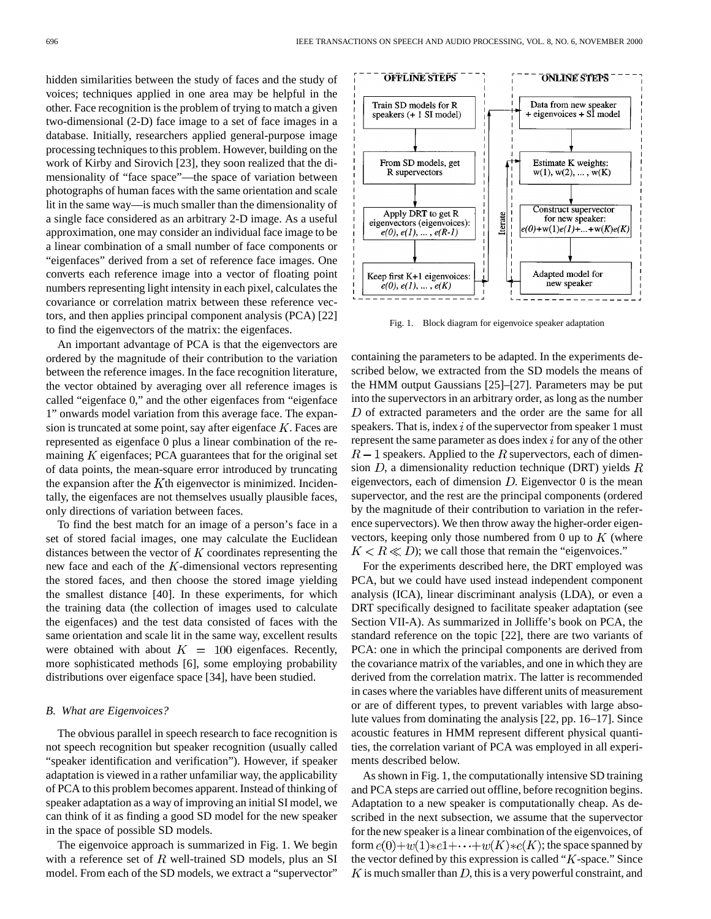hidden similarities between the study of faces and the study of voices; techniques applied in one area may be helpful in the other. Face recognition is the problem of trying to match a given two-dimensional (2-D) face image to a set of face images in a database. Initially, researchers applied general-purpose image processing techniques to this problem. However, building on the work of Kirby and Sirovich [23], they soon realized that the dimensionality of "face space"—the space of variation between photographs of human faces with the same orientation and scale lit in the same way—is much smaller than the dimensionality of a single face considered as an arbitrary 2-D image. As a useful approximation, one may consider an individual face image to be a linear combination of a small number of face components or "eigenfaces" derived from a set of reference face images. One converts each reference image into a vector of floating point numbers representing light intensity in each pixel, calculates the covariance or correlation matrix between these reference vectors, and then applies principal component analysis (PCA) [22] to find the eigenvectors of the matrix: the eigenfaces.

An important advantage of PCA is that the eigenvectors are ordered by the magnitude of their contribution to the variation between the reference images. In the face recognition literature, the vector obtained by averaging over all reference images is called "eigenface 0," and the other eigenfaces from "eigenface 1" onwards model variation from this average face. The expansion is truncated at some point, say after eigenface  $K$ . Faces are represented as eigenface 0 plus a linear combination of the remaining  $K$  eigenfaces; PCA guarantees that for the original set of data points, the mean-square error introduced by truncating the expansion after the  $K$ th eigenvector is minimized. Incidentally, the eigenfaces are not themselves usually plausible faces, only directions of variation between faces.

To find the best match for an image of a person's face in a set of stored facial images, one may calculate the Euclidean distances between the vector of  $K$  coordinates representing the new face and each of the  $K$ -dimensional vectors representing the stored faces, and then choose the stored image yielding the smallest distance [40]. In these experiments, for which the training data (the collection of images used to calculate the eigenfaces) and the test data consisted of faces with the same orientation and scale lit in the same way, excellent results were obtained with about  $K = 100$  eigenfaces. Recently, more sophisticated methods [6], some employing probability distributions over eigenface space [34], have been studied.

#### *B. What are Eigenvoices?*

The obvious parallel in speech research to face recognition is not speech recognition but speaker recognition (usually called "speaker identification and verification"). However, if speaker adaptation is viewed in a rather unfamiliar way, the applicability of PCA to this problem becomes apparent. Instead of thinking of speaker adaptation as a way of improving an initial SI model, we can think of it as finding a good SD model for the new speaker in the space of possible SD models.

The eigenvoice approach is summarized in Fig. 1. We begin with a reference set of  $R$  well-trained SD models, plus an SI model. From each of the SD models, we extract a "supervector"



Fig. 1. Block diagram for eigenvoice speaker adaptation

containing the parameters to be adapted. In the experiments described below, we extracted from the SD models the means of the HMM output Gaussians [25]–[27]. Parameters may be put into the supervectors in an arbitrary order, as long as the number  $D$  of extracted parameters and the order are the same for all speakers. That is, index  $i$  of the supervector from speaker 1 must represent the same parameter as does index  $i$  for any of the other  $R-1$  speakers. Applied to the R supervectors, each of dimension  $D$ , a dimensionality reduction technique (DRT) yields  $R$ eigenvectors, each of dimension  $D$ . Eigenvector 0 is the mean supervector, and the rest are the principal components (ordered by the magnitude of their contribution to variation in the reference supervectors). We then throw away the higher-order eigenvectors, keeping only those numbered from 0 up to  $K$  (where  $K < R \ll D$ ); we call those that remain the "eigenvoices."

For the experiments described here, the DRT employed was PCA, but we could have used instead independent component analysis (ICA), linear discriminant analysis (LDA), or even a DRT specifically designed to facilitate speaker adaptation (see Section VII-A). As summarized in Jolliffe's book on PCA, the standard reference on the topic [22], there are two variants of PCA: one in which the principal components are derived from the covariance matrix of the variables, and one in which they are derived from the correlation matrix. The latter is recommended in cases where the variables have different units of measurement or are of different types, to prevent variables with large absolute values from dominating the analysis [22, pp. 16–17]. Since acoustic features in HMM represent different physical quantities, the correlation variant of PCA was employed in all experiments described below.

As shown in Fig. 1, the computationally intensive SD training and PCA steps are carried out offline, before recognition begins. Adaptation to a new speaker is computationally cheap. As described in the next subsection, we assume that the supervector for the new speaker is a linear combination of the eigenvoices, of form  $e(0)+w(1)*e1+\cdots+w(K)*e(K)$ ; the space spanned by the vector defined by this expression is called " $K$ -space." Since  $K$  is much smaller than  $D$ , this is a very powerful constraint, and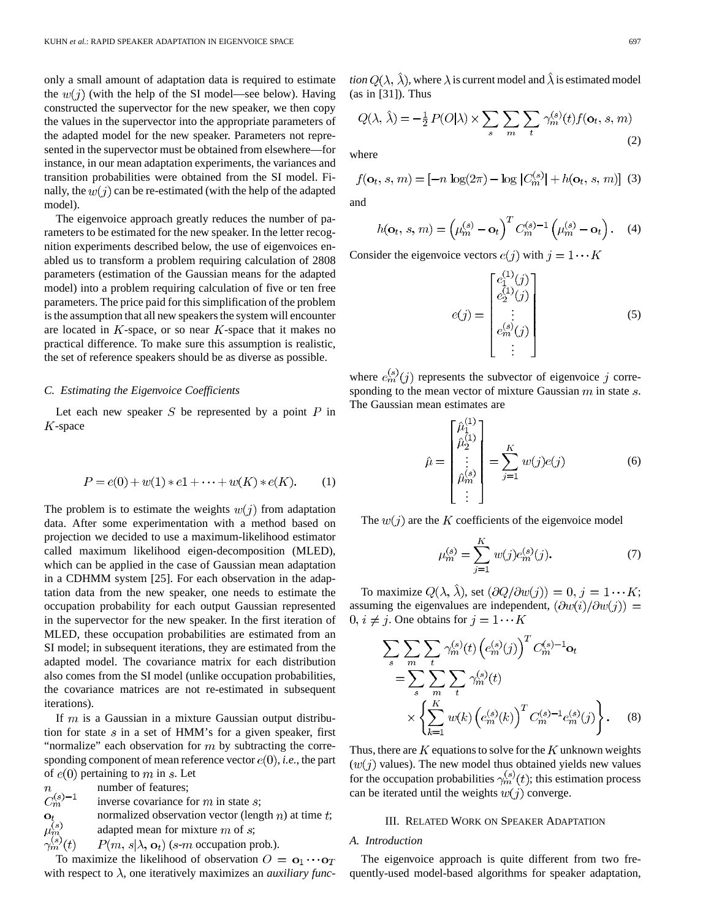only a small amount of adaptation data is required to estimate the  $w(j)$  (with the help of the SI model—see below). Having constructed the supervector for the new speaker, we then copy the values in the supervector into the appropriate parameters of the adapted model for the new speaker. Parameters not represented in the supervector must be obtained from elsewhere—for instance, in our mean adaptation experiments, the variances and transition probabilities were obtained from the SI model. Finally, the  $w(j)$  can be re-estimated (with the help of the adapted model).

The eigenvoice approach greatly reduces the number of parameters to be estimated for the new speaker. In the letter recognition experiments described below, the use of eigenvoices enabled us to transform a problem requiring calculation of 2808 parameters (estimation of the Gaussian means for the adapted model) into a problem requiring calculation of five or ten free parameters. The price paid for this simplification of the problem is the assumption that all new speakers the system will encounter are located in  $K$ -space, or so near  $K$ -space that it makes no practical difference. To make sure this assumption is realistic, the set of reference speakers should be as diverse as possible.

## *C. Estimating the Eigenvoice Coefficients*

Let each new speaker  $S$  be represented by a point  $P$  in  $K$ -space

$$
P = e(0) + w(1) * e1 + \dots + w(K) * e(K).
$$
 (1)

The problem is to estimate the weights  $w(j)$  from adaptation data. After some experimentation with a method based on projection we decided to use a maximum-likelihood estimator called maximum likelihood eigen-decomposition (MLED), which can be applied in the case of Gaussian mean adaptation in a CDHMM system [25]. For each observation in the adaptation data from the new speaker, one needs to estimate the occupation probability for each output Gaussian represented in the supervector for the new speaker. In the first iteration of MLED, these occupation probabilities are estimated from an SI model; in subsequent iterations, they are estimated from the adapted model. The covariance matrix for each distribution also comes from the SI model (unlike occupation probabilities, the covariance matrices are not re-estimated in subsequent iterations).

If  $m$  is a Gaussian in a mixture Gaussian output distribution for state  $s$  in a set of HMM's for a given speaker, first "normalize" each observation for  $m$  by subtracting the corresponding component of mean reference vector  $e(0)$ , *i.e.*, the part of  $e(0)$  pertaining to m in s. Let

number of features;  $C_m^{(s)-1}$ inverse covariance for  $m$  in state  $s$ ; normalized observation vector (length  $n$ ) at time  $t$ ; adapted mean for mixture  $m$  of  $s$ ;  $\gamma_m^{(s)}(t)$  $P(m, s | \lambda, o_t)$  (s-m occupation prob.).

To maximize the likelihood of observation  $O = \mathbf{o}_1 \cdots \mathbf{o}_T$ with respect to  $\lambda$ , one iteratively maximizes an *auxiliary func*- *tion*  $Q(\lambda, \hat{\lambda})$ , where  $\lambda$  is current model and  $\hat{\lambda}$  is estimated model (as in [31]). Thus

$$
Q(\lambda, \hat{\lambda}) = -\frac{1}{2} P(O|\lambda) \times \sum_{s} \sum_{m} \sum_{t} \gamma_m^{(s)}(t) f(\mathbf{o}_t, s, m)
$$
\n(2)

where

$$
f(\mathbf{o}_t, s, m) = [-n \log(2\pi) - \log |C_m^{(s)}| + h(\mathbf{o}_t, s, m)] \tag{3}
$$

and

$$
h(\mathbf{o}_t, s, m) = \left(\mu_m^{(s)} - \mathbf{o}_t\right)^T C_m^{(s)-1} \left(\mu_m^{(s)} - \mathbf{o}_t\right). \tag{4}
$$

Consider the eigenvoice vectors  $e(j)$  with  $j = 1 \cdots K$ 

$$
e(j) = \begin{bmatrix} e_1^{(1)}(j) \\ e_2^{(1)}(j) \\ \vdots \\ e_m^{(s)}(j) \\ \vdots \end{bmatrix}
$$
 (5)

where  $e_m^{(s)}(j)$  represents the subvector of eigenvoice j corresponding to the mean vector of mixture Gaussian  $m$  in state  $s$ . The Gaussian mean estimates are

$$
\hat{\mu} = \begin{bmatrix} \hat{\mu}_1^{(1)} \\ \hat{\mu}_2^{(1)} \\ \vdots \\ \hat{\mu}_m^{(s)} \\ \vdots \end{bmatrix} = \sum_{j=1}^K w(j)e(j) \tag{6}
$$

The  $w(j)$  are the K coefficients of the eigenvoice model

$$
\mu_m^{(s)} = \sum_{j=1}^K w(j)e_m^{(s)}(j).
$$
 (7)

To maximize  $Q(\lambda, \hat{\lambda})$ , set  $(\partial Q/\partial w(j)) = 0, j = 1 \cdots K;$ assuming the eigenvalues are independent,  $(\partial w(i)/\partial w(j))$  =  $0, i \neq j$ . One obtains for  $j = 1 \cdots K$ 

$$
\sum_{s} \sum_{m} \sum_{t} \gamma_{m}^{(s)}(t) \left( e_{m}^{(s)}(j) \right)^{T} C_{m}^{(s)-1} \mathbf{o}_{t}
$$
\n
$$
= \sum_{s} \sum_{m} \sum_{t} \gamma_{m}^{(s)}(t)
$$
\n
$$
\times \left\{ \sum_{k=1}^{K} w(k) \left( e_{m}^{(s)}(k) \right)^{T} C_{m}^{(s)-1} e_{m}^{(s)}(j) \right\}. \tag{8}
$$

Thus, there are K equations to solve for the K unknown weights  $(w(j))$  values). The new model thus obtained yields new values for the occupation probabilities  $\gamma_m^{(s)}(t)$ ; this estimation process can be iterated until the weights  $w(j)$  converge.

# III. RELATED WORK ON SPEAKER ADAPTATION

# *A. Introduction*

The eigenvoice approach is quite different from two frequently-used model-based algorithms for speaker adaptation,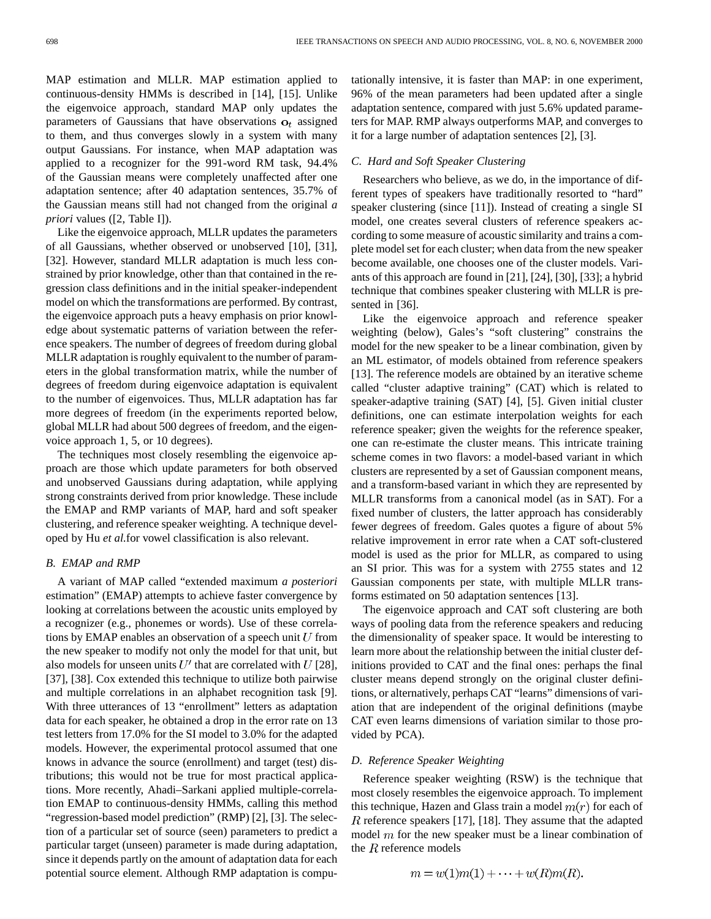MAP estimation and MLLR. MAP estimation applied to continuous-density HMMs is described in [14], [15]. Unlike the eigenvoice approach, standard MAP only updates the parameters of Gaussians that have observations  $o_t$  assigned to them, and thus converges slowly in a system with many output Gaussians. For instance, when MAP adaptation was applied to a recognizer for the 991-word RM task, 94.4% of the Gaussian means were completely unaffected after one adaptation sentence; after 40 adaptation sentences, 35.7% of the Gaussian means still had not changed from the original *a priori* values ([2, Table I]).

Like the eigenvoice approach, MLLR updates the parameters of all Gaussians, whether observed or unobserved [10], [31], [32]. However, standard MLLR adaptation is much less constrained by prior knowledge, other than that contained in the regression class definitions and in the initial speaker-independent model on which the transformations are performed. By contrast, the eigenvoice approach puts a heavy emphasis on prior knowledge about systematic patterns of variation between the reference speakers. The number of degrees of freedom during global MLLR adaptation is roughly equivalent to the number of parameters in the global transformation matrix, while the number of degrees of freedom during eigenvoice adaptation is equivalent to the number of eigenvoices. Thus, MLLR adaptation has far more degrees of freedom (in the experiments reported below, global MLLR had about 500 degrees of freedom, and the eigenvoice approach 1, 5, or 10 degrees).

The techniques most closely resembling the eigenvoice approach are those which update parameters for both observed and unobserved Gaussians during adaptation, while applying strong constraints derived from prior knowledge. These include the EMAP and RMP variants of MAP, hard and soft speaker clustering, and reference speaker weighting. A technique developed by Hu *et al.*for vowel classification is also relevant.

# *B. EMAP and RMP*

A variant of MAP called "extended maximum *a posteriori* estimation" (EMAP) attempts to achieve faster convergence by looking at correlations between the acoustic units employed by a recognizer (e.g., phonemes or words). Use of these correlations by EMAP enables an observation of a speech unit  $U$  from the new speaker to modify not only the model for that unit, but also models for unseen units  $U'$  that are correlated with  $U$  [28], [37], [38]. Cox extended this technique to utilize both pairwise and multiple correlations in an alphabet recognition task [9]. With three utterances of 13 "enrollment" letters as adaptation data for each speaker, he obtained a drop in the error rate on 13 test letters from 17.0% for the SI model to 3.0% for the adapted models. However, the experimental protocol assumed that one knows in advance the source (enrollment) and target (test) distributions; this would not be true for most practical applications. More recently, Ahadi–Sarkani applied multiple-correlation EMAP to continuous-density HMMs, calling this method "regression-based model prediction" (RMP) [2], [3]. The selection of a particular set of source (seen) parameters to predict a particular target (unseen) parameter is made during adaptation, since it depends partly on the amount of adaptation data for each potential source element. Although RMP adaptation is computationally intensive, it is faster than MAP: in one experiment, 96% of the mean parameters had been updated after a single adaptation sentence, compared with just 5.6% updated parameters for MAP. RMP always outperforms MAP, and converges to it for a large number of adaptation sentences [2], [3].

# *C. Hard and Soft Speaker Clustering*

Researchers who believe, as we do, in the importance of different types of speakers have traditionally resorted to "hard" speaker clustering (since [11]). Instead of creating a single SI model, one creates several clusters of reference speakers according to some measure of acoustic similarity and trains a complete model set for each cluster; when data from the new speaker become available, one chooses one of the cluster models. Variants of this approach are found in [21], [24], [30], [33]; a hybrid technique that combines speaker clustering with MLLR is presented in [36].

Like the eigenvoice approach and reference speaker weighting (below), Gales's "soft clustering" constrains the model for the new speaker to be a linear combination, given by an ML estimator, of models obtained from reference speakers [13]. The reference models are obtained by an iterative scheme called "cluster adaptive training" (CAT) which is related to speaker-adaptive training (SAT) [4], [5]. Given initial cluster definitions, one can estimate interpolation weights for each reference speaker; given the weights for the reference speaker, one can re-estimate the cluster means. This intricate training scheme comes in two flavors: a model-based variant in which clusters are represented by a set of Gaussian component means, and a transform-based variant in which they are represented by MLLR transforms from a canonical model (as in SAT). For a fixed number of clusters, the latter approach has considerably fewer degrees of freedom. Gales quotes a figure of about 5% relative improvement in error rate when a CAT soft-clustered model is used as the prior for MLLR, as compared to using an SI prior. This was for a system with 2755 states and 12 Gaussian components per state, with multiple MLLR transforms estimated on 50 adaptation sentences [13].

The eigenvoice approach and CAT soft clustering are both ways of pooling data from the reference speakers and reducing the dimensionality of speaker space. It would be interesting to learn more about the relationship between the initial cluster definitions provided to CAT and the final ones: perhaps the final cluster means depend strongly on the original cluster definitions, or alternatively, perhaps CAT "learns" dimensions of variation that are independent of the original definitions (maybe CAT even learns dimensions of variation similar to those provided by PCA).

# *D. Reference Speaker Weighting*

Reference speaker weighting (RSW) is the technique that most closely resembles the eigenvoice approach. To implement this technique, Hazen and Glass train a model  $m(r)$  for each of  $R$  reference speakers [17], [18]. They assume that the adapted model  $m$  for the new speaker must be a linear combination of the  $R$  reference models

$$
m = w(1)m(1) + \cdots + w(R)m(R).
$$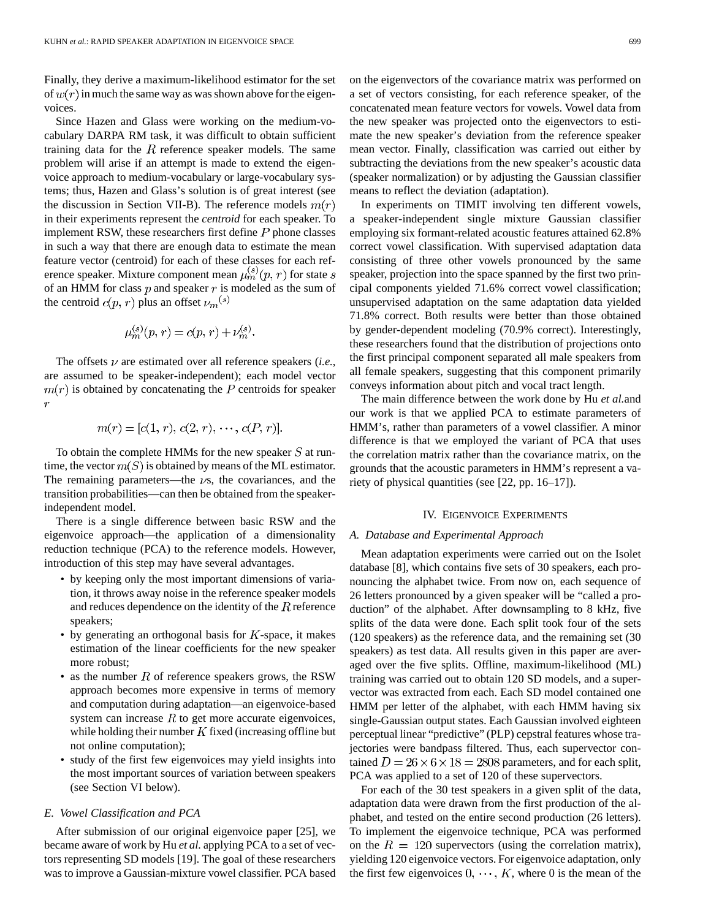Finally, they derive a maximum-likelihood estimator for the set of  $w(r)$  in much the same way as was shown above for the eigenvoices.

Since Hazen and Glass were working on the medium-vocabulary DARPA RM task, it was difficult to obtain sufficient training data for the  $R$  reference speaker models. The same problem will arise if an attempt is made to extend the eigenvoice approach to medium-vocabulary or large-vocabulary systems; thus, Hazen and Glass's solution is of great interest (see the discussion in Section VII-B). The reference models  $m(r)$ in their experiments represent the *centroid* for each speaker. To implement RSW, these researchers first define  $P$  phone classes in such a way that there are enough data to estimate the mean feature vector (centroid) for each of these classes for each reference speaker. Mixture component mean  $\mu_m^{(s)}(p, r)$  for state s of an HMM for class  $p$  and speaker  $r$  is modeled as the sum of the centroid  $c(p, r)$  plus an offset  $\nu_m^{(s)}$ 

$$
\mu_m^{(s)}(p,r) = c(p,r) + \nu_m^{(s)}
$$

The offsets  $\nu$  are estimated over all reference speakers (*i.e.*, are assumed to be speaker-independent); each model vector  $m(r)$  is obtained by concatenating the P centroids for speaker  $\boldsymbol{r}$ 

$$
m(r) = [c(1, r), c(2, r), \cdots, c(P, r)].
$$

To obtain the complete HMMs for the new speaker  $S$  at runtime, the vector  $m(S)$  is obtained by means of the ML estimator. The remaining parameters—the  $\nu$ s, the covariances, and the transition probabilities—can then be obtained from the speakerindependent model.

There is a single difference between basic RSW and the eigenvoice approach—the application of a dimensionality reduction technique (PCA) to the reference models. However, introduction of this step may have several advantages.

- by keeping only the most important dimensions of variation, it throws away noise in the reference speaker models and reduces dependence on the identity of the  $R$  reference speakers;
- by generating an orthogonal basis for  $K$ -space, it makes estimation of the linear coefficients for the new speaker more robust;
- as the number  $R$  of reference speakers grows, the RSW approach becomes more expensive in terms of memory and computation during adaptation—an eigenvoice-based system can increase  $R$  to get more accurate eigenvoices, while holding their number  $K$  fixed (increasing offline but not online computation);
- study of the first few eigenvoices may yield insights into the most important sources of variation between speakers (see Section VI below).

## *E. Vowel Classification and PCA*

After submission of our original eigenvoice paper [25], we became aware of work by Hu *et al.* applying PCA to a set of vectors representing SD models [19]. The goal of these researchers was to improve a Gaussian-mixture vowel classifier. PCA based on the eigenvectors of the covariance matrix was performed on a set of vectors consisting, for each reference speaker, of the concatenated mean feature vectors for vowels. Vowel data from the new speaker was projected onto the eigenvectors to estimate the new speaker's deviation from the reference speaker mean vector. Finally, classification was carried out either by subtracting the deviations from the new speaker's acoustic data (speaker normalization) or by adjusting the Gaussian classifier means to reflect the deviation (adaptation).

In experiments on TIMIT involving ten different vowels, a speaker-independent single mixture Gaussian classifier employing six formant-related acoustic features attained 62.8% correct vowel classification. With supervised adaptation data consisting of three other vowels pronounced by the same speaker, projection into the space spanned by the first two principal components yielded 71.6% correct vowel classification; unsupervised adaptation on the same adaptation data yielded 71.8% correct. Both results were better than those obtained by gender-dependent modeling (70.9% correct). Interestingly, these researchers found that the distribution of projections onto the first principal component separated all male speakers from all female speakers, suggesting that this component primarily conveys information about pitch and vocal tract length.

The main difference between the work done by Hu *et al.*and our work is that we applied PCA to estimate parameters of HMM's, rather than parameters of a vowel classifier. A minor difference is that we employed the variant of PCA that uses the correlation matrix rather than the covariance matrix, on the grounds that the acoustic parameters in HMM's represent a variety of physical quantities (see [22, pp. 16–17]).

## IV. EIGENVOICE EXPERIMENTS

#### *A. Database and Experimental Approach*

Mean adaptation experiments were carried out on the Isolet database [8], which contains five sets of 30 speakers, each pronouncing the alphabet twice. From now on, each sequence of 26 letters pronounced by a given speaker will be "called a production" of the alphabet. After downsampling to 8 kHz, five splits of the data were done. Each split took four of the sets (120 speakers) as the reference data, and the remaining set (30 speakers) as test data. All results given in this paper are averaged over the five splits. Offline, maximum-likelihood (ML) training was carried out to obtain 120 SD models, and a supervector was extracted from each. Each SD model contained one HMM per letter of the alphabet, with each HMM having six single-Gaussian output states. Each Gaussian involved eighteen perceptual linear "predictive" (PLP) cepstral features whose trajectories were bandpass filtered. Thus, each supervector contained  $D = 26 \times 6 \times 18 = 2808$  parameters, and for each split, PCA was applied to a set of 120 of these supervectors.

For each of the 30 test speakers in a given split of the data, adaptation data were drawn from the first production of the alphabet, and tested on the entire second production (26 letters). To implement the eigenvoice technique, PCA was performed on the  $R = 120$  supervectors (using the correlation matrix), yielding 120 eigenvoice vectors. For eigenvoice adaptation, only the first few eigenvoices  $0, \dots, K$ , where 0 is the mean of the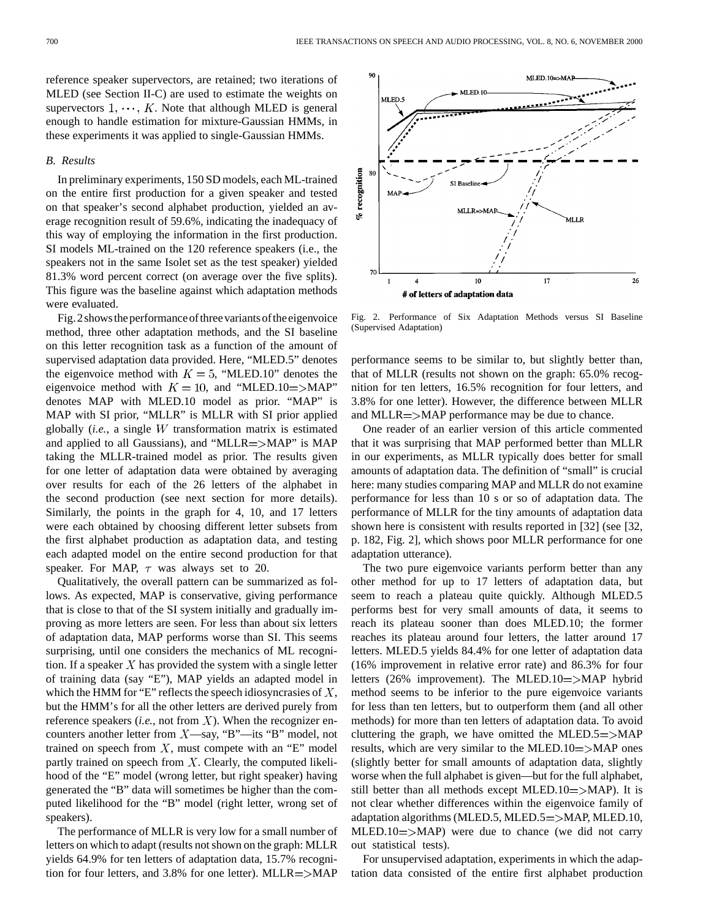reference speaker supervectors, are retained; two iterations of MLED (see Section II-C) are used to estimate the weights on supervectors  $1, \dots, K$ . Note that although MLED is general enough to handle estimation for mixture-Gaussian HMMs, in these experiments it was applied to single-Gaussian HMMs.

# *B. Results*

In preliminary experiments, 150 SD models, each ML-trained on the entire first production for a given speaker and tested on that speaker's second alphabet production, yielded an average recognition result of 59.6%, indicating the inadequacy of this way of employing the information in the first production. SI models ML-trained on the 120 reference speakers (i.e., the speakers not in the same Isolet set as the test speaker) yielded 81.3% word percent correct (on average over the five splits). This figure was the baseline against which adaptation methods were evaluated.

Fig. 2 shows the performance of three variants of the eigenvoice method, three other adaptation methods, and the SI baseline on this letter recognition task as a function of the amount of supervised adaptation data provided. Here, "MLED.5" denotes the eigenvoice method with  $K = 5$ , "MLED.10" denotes the eigenvoice method with  $K = 10$ , and "MLED.10 = > MAP" denotes MAP with MLED.10 model as prior. "MAP" is MAP with SI prior, "MLLR" is MLLR with SI prior applied globally  $(i.e., a single W transformation matrix is estimated$ and applied to all Gaussians), and "MLLR $=\gt;MAP$ " is MAP taking the MLLR-trained model as prior. The results given for one letter of adaptation data were obtained by averaging over results for each of the 26 letters of the alphabet in the second production (see next section for more details). Similarly, the points in the graph for 4, 10, and 17 letters were each obtained by choosing different letter subsets from the first alphabet production as adaptation data, and testing each adapted model on the entire second production for that speaker. For MAP,  $\tau$  was always set to 20.

Qualitatively, the overall pattern can be summarized as follows. As expected, MAP is conservative, giving performance that is close to that of the SI system initially and gradually improving as more letters are seen. For less than about six letters of adaptation data, MAP performs worse than SI. This seems surprising, until one considers the mechanics of ML recognition. If a speaker  $X$  has provided the system with a single letter of training data (say "E"), MAP yields an adapted model in which the HMM for "E" reflects the speech idiosyncrasies of  $X$ , but the HMM's for all the other letters are derived purely from reference speakers  $(i.e., not from X)$ . When the recognizer encounters another letter from  $X$ —say, "B"—its "B" model, not trained on speech from  $X$ , must compete with an "E" model partly trained on speech from  $X$ . Clearly, the computed likelihood of the "E" model (wrong letter, but right speaker) having generated the "B" data will sometimes be higher than the computed likelihood for the "B" model (right letter, wrong set of speakers).

The performance of MLLR is very low for a small number of letters on which to adapt (results not shown on the graph: MLLR yields 64.9% for ten letters of adaptation data, 15.7% recognition for four letters, and 3.8% for one letter). MLLR $=\geq$ MAP



Fig. 2. Performance of Six Adaptation Methods versus SI Baseline (Supervised Adaptation)

performance seems to be similar to, but slightly better than, that of MLLR (results not shown on the graph: 65.0% recognition for ten letters, 16.5% recognition for four letters, and 3.8% for one letter). However, the difference between MLLR and  $MLLR = > MAP$  performance may be due to chance.

One reader of an earlier version of this article commented that it was surprising that MAP performed better than MLLR in our experiments, as MLLR typically does better for small amounts of adaptation data. The definition of "small" is crucial here: many studies comparing MAP and MLLR do not examine performance for less than 10 s or so of adaptation data. The performance of MLLR for the tiny amounts of adaptation data shown here is consistent with results reported in [32] (see [32, p. 182, Fig. 2], which shows poor MLLR performance for one adaptation utterance).

The two pure eigenvoice variants perform better than any other method for up to 17 letters of adaptation data, but seem to reach a plateau quite quickly. Although MLED.5 performs best for very small amounts of data, it seems to reach its plateau sooner than does MLED.10; the former reaches its plateau around four letters, the latter around 17 letters. MLED.5 yields 84.4% for one letter of adaptation data (16% improvement in relative error rate) and 86.3% for four letters (26% improvement). The MLED.10 $\Rightarrow$ MAP hybrid method seems to be inferior to the pure eigenvoice variants for less than ten letters, but to outperform them (and all other methods) for more than ten letters of adaptation data. To avoid cluttering the graph, we have omitted the MLED.5 $\equiv$ >MAP results, which are very similar to the MLED.10 $\Rightarrow$ MAP ones (slightly better for small amounts of adaptation data, slightly worse when the full alphabet is given—but for the full alphabet, still better than all methods except MLED.10 $\Rightarrow$ MAP). It is not clear whether differences within the eigenvoice family of adaptation algorithms (MLED.5, MLED.5 = > MAP, MLED.10,  $MLED.10 = > MAP$ ) were due to chance (we did not carry out statistical tests).

For unsupervised adaptation, experiments in which the adaptation data consisted of the entire first alphabet production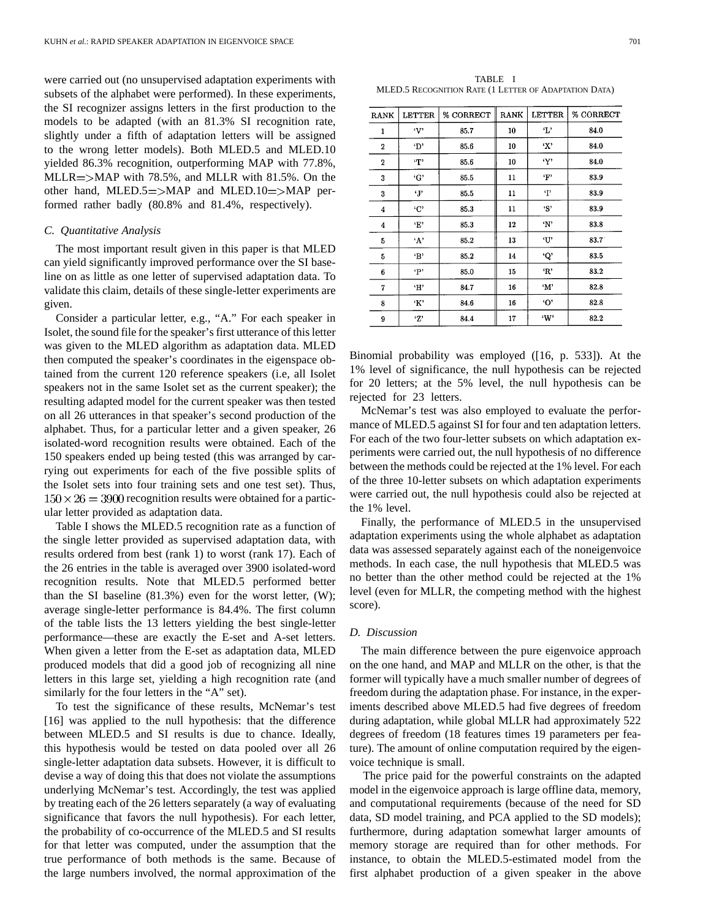were carried out (no unsupervised adaptation experiments with subsets of the alphabet were performed). In these experiments, the SI recognizer assigns letters in the first production to the models to be adapted (with an 81.3% SI recognition rate, slightly under a fifth of adaptation letters will be assigned to the wrong letter models). Both MLED.5 and MLED.10 yielded 86.3% recognition, outperforming MAP with 77.8%,  $MLLR = > MAP$  with 78.5%, and MLLR with 81.5%. On the other hand, MLED.5  $\Rightarrow$  MAP and MLED.10  $\Rightarrow$  MAP performed rather badly (80.8% and 81.4%, respectively).

# *C. Quantitative Analysis*

The most important result given in this paper is that MLED can yield significantly improved performance over the SI baseline on as little as one letter of supervised adaptation data. To validate this claim, details of these single-letter experiments are given.

Consider a particular letter, e.g., "A." For each speaker in Isolet, the sound file for the speaker's first utterance of this letter was given to the MLED algorithm as adaptation data. MLED then computed the speaker's coordinates in the eigenspace obtained from the current 120 reference speakers (i.e, all Isolet speakers not in the same Isolet set as the current speaker); the resulting adapted model for the current speaker was then tested on all 26 utterances in that speaker's second production of the alphabet. Thus, for a particular letter and a given speaker, 26 isolated-word recognition results were obtained. Each of the 150 speakers ended up being tested (this was arranged by carrying out experiments for each of the five possible splits of the Isolet sets into four training sets and one test set). Thus,  $150 \times 26 = 3900$  recognition results were obtained for a particular letter provided as adaptation data.

Table I shows the MLED.5 recognition rate as a function of the single letter provided as supervised adaptation data, with results ordered from best (rank 1) to worst (rank 17). Each of the 26 entries in the table is averaged over 3900 isolated-word recognition results. Note that MLED.5 performed better than the SI baseline (81.3%) even for the worst letter, (W); average single-letter performance is 84.4%. The first column of the table lists the 13 letters yielding the best single-letter performance—these are exactly the E-set and A-set letters. When given a letter from the E-set as adaptation data, MLED produced models that did a good job of recognizing all nine letters in this large set, yielding a high recognition rate (and similarly for the four letters in the "A" set).

To test the significance of these results, McNemar's test [16] was applied to the null hypothesis: that the difference between MLED.5 and SI results is due to chance. Ideally, this hypothesis would be tested on data pooled over all 26 single-letter adaptation data subsets. However, it is difficult to devise a way of doing this that does not violate the assumptions underlying McNemar's test. Accordingly, the test was applied by treating each of the 26 letters separately (a way of evaluating significance that favors the null hypothesis). For each letter, the probability of co-occurrence of the MLED.5 and SI results for that letter was computed, under the assumption that the true performance of both methods is the same. Because of the large numbers involved, the normal approximation of the

TABLE I MLED.5 RECOGNITION RATE (1 LETTER OF ADAPTATION DATA)

| RANK             | <b>LETTER</b> | % CORRECT | RANK<br><b>LETTER</b> |     | % CORRECT |
|------------------|---------------|-----------|-----------------------|-----|-----------|
| 1                | $\cdot_V$     | 85.7      | 10                    | ъ,  | 84.0      |
| $\boldsymbol{2}$ | 'D'           | 85.6      | 'Χ'<br>10             |     | 84.0      |
| $\mathbf{2}$     | "Г'           | 85.6      | 10                    | 'Y' | 84.0      |
| 3                | ٠G            | 85.5      | 11                    | 'F' | 83.9      |
| 3                | ٠J,           | 85.5      | 11                    | T   | 83.9      |
| 4                | ٠С'           | 85.3      | 11                    | 'S' | 83.9      |
| 4                | 'E'           | 85.3      | 12                    | 'N' | 83.8      |
| 5                | ٠Α'           | 85.2      | 13                    | ʻU' | 83.7      |
| 5                | 'B'           | 85.2      | 14                    | ʻQ' | 83.5      |
| 6                | ъ,            | 85.0      | 15                    | 'R' | 83.2      |
| 7                | 'H'           | 84.7      | 16                    | ʻΜ' | 82.8      |
| 8                | 'K'           | 84.6      | 16                    | ٠О, | 82.8      |
| 9                | 'Z'           | 84.4      | 17                    | 'W' | 82.2      |

Binomial probability was employed ([16, p. 533]). At the 1% level of significance, the null hypothesis can be rejected for 20 letters; at the 5% level, the null hypothesis can be rejected for 23 letters.

McNemar's test was also employed to evaluate the performance of MLED.5 against SI for four and ten adaptation letters. For each of the two four-letter subsets on which adaptation experiments were carried out, the null hypothesis of no difference between the methods could be rejected at the 1% level. For each of the three 10-letter subsets on which adaptation experiments were carried out, the null hypothesis could also be rejected at the 1% level.

Finally, the performance of MLED.5 in the unsupervised adaptation experiments using the whole alphabet as adaptation data was assessed separately against each of the noneigenvoice methods. In each case, the null hypothesis that MLED.5 was no better than the other method could be rejected at the 1% level (even for MLLR, the competing method with the highest score).

# *D. Discussion*

The main difference between the pure eigenvoice approach on the one hand, and MAP and MLLR on the other, is that the former will typically have a much smaller number of degrees of freedom during the adaptation phase. For instance, in the experiments described above MLED.5 had five degrees of freedom during adaptation, while global MLLR had approximately 522 degrees of freedom (18 features times 19 parameters per feature). The amount of online computation required by the eigenvoice technique is small.

The price paid for the powerful constraints on the adapted model in the eigenvoice approach is large offline data, memory, and computational requirements (because of the need for SD data, SD model training, and PCA applied to the SD models); furthermore, during adaptation somewhat larger amounts of memory storage are required than for other methods. For instance, to obtain the MLED.5-estimated model from the first alphabet production of a given speaker in the above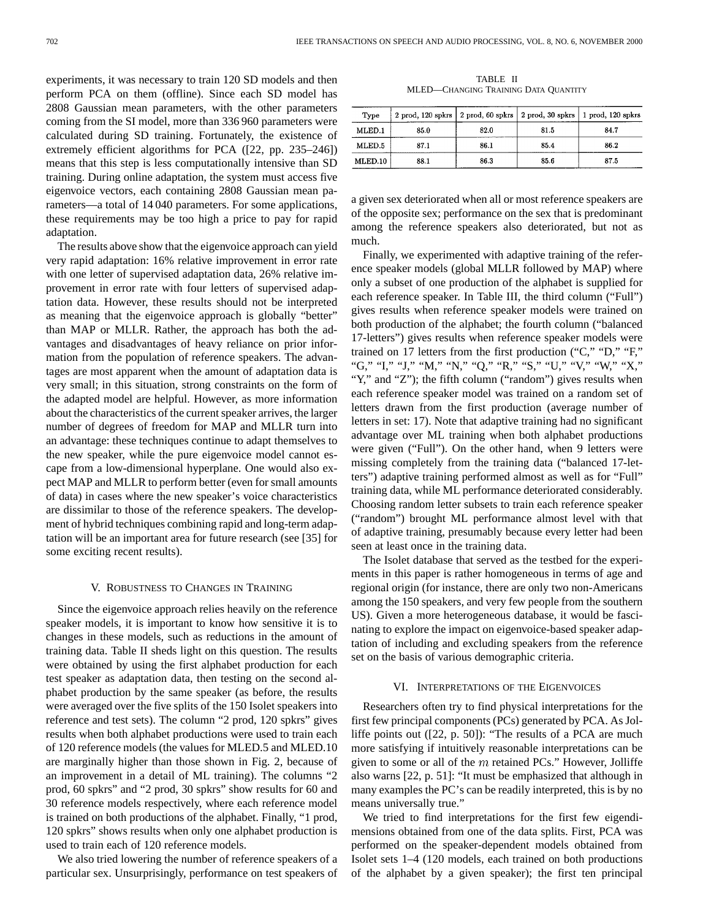experiments, it was necessary to train 120 SD models and then perform PCA on them (offline). Since each SD model has 2808 Gaussian mean parameters, with the other parameters coming from the SI model, more than 336 960 parameters were calculated during SD training. Fortunately, the existence of extremely efficient algorithms for PCA ([22, pp. 235–246]) means that this step is less computationally intensive than SD training. During online adaptation, the system must access five eigenvoice vectors, each containing 2808 Gaussian mean parameters—a total of 14 040 parameters. For some applications, these requirements may be too high a price to pay for rapid adaptation.

The results above show that the eigenvoice approach can yield very rapid adaptation: 16% relative improvement in error rate with one letter of supervised adaptation data, 26% relative improvement in error rate with four letters of supervised adaptation data. However, these results should not be interpreted as meaning that the eigenvoice approach is globally "better" than MAP or MLLR. Rather, the approach has both the advantages and disadvantages of heavy reliance on prior information from the population of reference speakers. The advantages are most apparent when the amount of adaptation data is very small; in this situation, strong constraints on the form of the adapted model are helpful. However, as more information about the characteristics of the current speaker arrives, the larger number of degrees of freedom for MAP and MLLR turn into an advantage: these techniques continue to adapt themselves to the new speaker, while the pure eigenvoice model cannot escape from a low-dimensional hyperplane. One would also expect MAP and MLLR to perform better (even for small amounts of data) in cases where the new speaker's voice characteristics are dissimilar to those of the reference speakers. The development of hybrid techniques combining rapid and long-term adaptation will be an important area for future research (see [35] for some exciting recent results).

## V. ROBUSTNESS TO CHANGES IN TRAINING

Since the eigenvoice approach relies heavily on the reference speaker models, it is important to know how sensitive it is to changes in these models, such as reductions in the amount of training data. Table II sheds light on this question. The results were obtained by using the first alphabet production for each test speaker as adaptation data, then testing on the second alphabet production by the same speaker (as before, the results were averaged over the five splits of the 150 Isolet speakers into reference and test sets). The column "2 prod, 120 spkrs" gives results when both alphabet productions were used to train each of 120 reference models (the values for MLED.5 and MLED.10 are marginally higher than those shown in Fig. 2, because of an improvement in a detail of ML training). The columns "2 prod, 60 spkrs" and "2 prod, 30 spkrs" show results for 60 and 30 reference models respectively, where each reference model is trained on both productions of the alphabet. Finally, "1 prod, 120 spkrs" shows results when only one alphabet production is used to train each of 120 reference models.

We also tried lowering the number of reference speakers of a particular sex. Unsurprisingly, performance on test speakers of

TABLE II MLED—CHANGING TRAINING DATA QUANTITY

| Type    |      |      |      | 2 prod, 120 spkrs   2 prod, 60 spkrs   2 prod, 30 spkrs   1 prod, 120 spkrs |
|---------|------|------|------|-----------------------------------------------------------------------------|
| MLED.1  | 85.0 | 82.0 | 81.5 | 84.7                                                                        |
| MLED.5  | 87.1 | 86.1 | 85.4 | 86.2                                                                        |
| MLED.10 | 88.1 | 86.3 | 85.6 | 875                                                                         |

a given sex deteriorated when all or most reference speakers are of the opposite sex; performance on the sex that is predominant among the reference speakers also deteriorated, but not as much.

Finally, we experimented with adaptive training of the reference speaker models (global MLLR followed by MAP) where only a subset of one production of the alphabet is supplied for each reference speaker. In Table III, the third column ("Full") gives results when reference speaker models were trained on both production of the alphabet; the fourth column ("balanced 17-letters") gives results when reference speaker models were trained on 17 letters from the first production ("C," "D," "F," "G," "I," "J," "M," "N," "Q," "R," "S," "U," "V," "W," "X," "Y," and "Z"); the fifth column ("random") gives results when each reference speaker model was trained on a random set of letters drawn from the first production (average number of letters in set: 17). Note that adaptive training had no significant advantage over ML training when both alphabet productions were given ("Full"). On the other hand, when 9 letters were missing completely from the training data ("balanced 17-letters") adaptive training performed almost as well as for "Full" training data, while ML performance deteriorated considerably. Choosing random letter subsets to train each reference speaker ("random") brought ML performance almost level with that of adaptive training, presumably because every letter had been seen at least once in the training data.

The Isolet database that served as the testbed for the experiments in this paper is rather homogeneous in terms of age and regional origin (for instance, there are only two non-Americans among the 150 speakers, and very few people from the southern US). Given a more heterogeneous database, it would be fascinating to explore the impact on eigenvoice-based speaker adaptation of including and excluding speakers from the reference set on the basis of various demographic criteria.

## VI. INTERPRETATIONS OF THE EIGENVOICES

Researchers often try to find physical interpretations for the first few principal components (PCs) generated by PCA. As Jolliffe points out ([22, p. 50]): "The results of a PCA are much more satisfying if intuitively reasonable interpretations can be given to some or all of the  $m$  retained PCs." However, Jolliffe also warns [22, p. 51]: "It must be emphasized that although in many examples the PC's can be readily interpreted, this is by no means universally true."

We tried to find interpretations for the first few eigendimensions obtained from one of the data splits. First, PCA was performed on the speaker-dependent models obtained from Isolet sets 1–4 (120 models, each trained on both productions of the alphabet by a given speaker); the first ten principal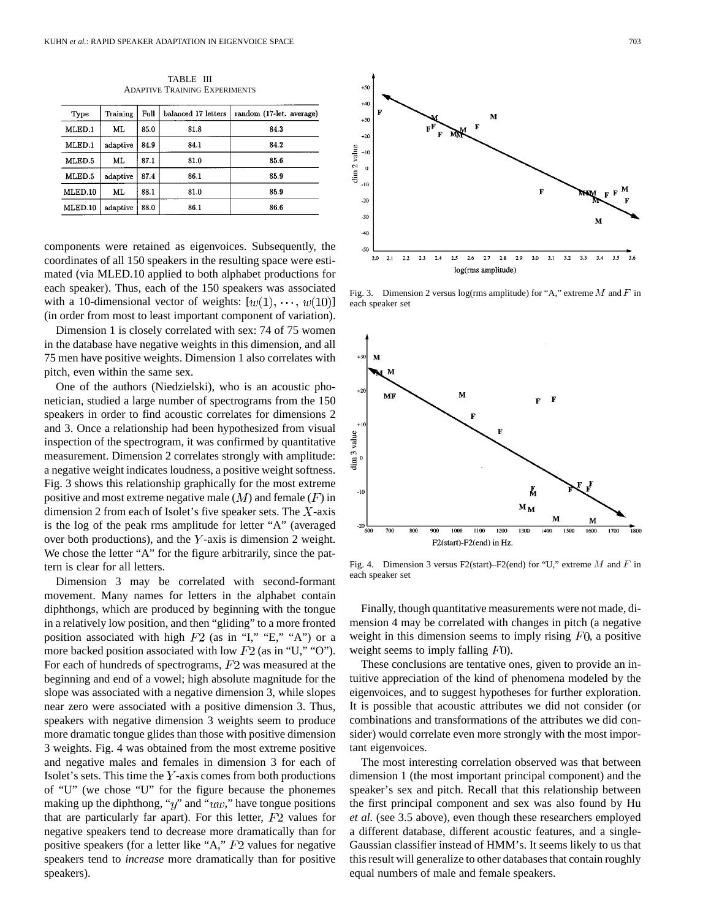TABLE III ADAPTIVE TRAINING EXPERIMENTS

| Type    | Training | Full | balanced 17 letters | random (17-let. average) |
|---------|----------|------|---------------------|--------------------------|
| MLED.1  | ML       | 85.0 | 81.8                | 84.3                     |
| MLED.1  | adaptive | 84.9 | 84.1                | 84.2                     |
| MLED.5  | ML       | 87.1 | 81.0                | 85.6                     |
| MLED.5  | adaptive | 87.4 | 86.1                | 85.9                     |
| MLED.10 | ML       | 88.1 | 81.0                | 85.9                     |
| MLED.10 | adaptive | 88.0 | 86.1                | 86.6                     |

components were retained as eigenvoices. Subsequently, the coordinates of all 150 speakers in the resulting space were estimated (via MLED.10 applied to both alphabet productions for each speaker). Thus, each of the 150 speakers was associated with a 10-dimensional vector of weights:  $[w(1), \dots, w(10)]$ (in order from most to least important component of variation).

Dimension 1 is closely correlated with sex: 74 of 75 women in the database have negative weights in this dimension, and all 75 men have positive weights. Dimension 1 also correlates with pitch, even within the same sex.

One of the authors (Niedzielski), who is an acoustic phonetician, studied a large number of spectrograms from the 150 speakers in order to find acoustic correlates for dimensions 2 and 3. Once a relationship had been hypothesized from visual inspection of the spectrogram, it was confirmed by quantitative measurement. Dimension 2 correlates strongly with amplitude: a negative weight indicates loudness, a positive weight softness. Fig. 3 shows this relationship graphically for the most extreme positive and most extreme negative male  $(M)$  and female  $(F)$  in dimension 2 from each of Isolet's five speaker sets. The  $X$ -axis is the log of the peak rms amplitude for letter "A" (averaged over both productions), and the  $Y$ -axis is dimension 2 weight. We chose the letter "A" for the figure arbitrarily, since the pattern is clear for all letters.

Dimension 3 may be correlated with second-formant movement. Many names for letters in the alphabet contain diphthongs, which are produced by beginning with the tongue in a relatively low position, and then "gliding" to a more fronted position associated with high  $F2$  (as in "I," "E," "A") or a more backed position associated with low  $F2$  (as in "U," "O"). For each of hundreds of spectrograms,  $F2$  was measured at the beginning and end of a vowel; high absolute magnitude for the slope was associated with a negative dimension 3, while slopes near zero were associated with a positive dimension 3. Thus, speakers with negative dimension 3 weights seem to produce more dramatic tongue glides than those with positive dimension 3 weights. Fig. 4 was obtained from the most extreme positive and negative males and females in dimension 3 for each of Isolet's sets. This time the  $Y$ -axis comes from both productions of "U" (we chose "U" for the figure because the phonemes making up the diphthong, " $y$ " and " $uw$ ," have tongue positions that are particularly far apart). For this letter,  $F2$  values for negative speakers tend to decrease more dramatically than for positive speakers (for a letter like "A,"  $F2$  values for negative speakers tend to *increase* more dramatically than for positive speakers).



Fig. 3. Dimension 2 versus log(rms amplitude) for "A," extreme  $M$  and  $F$  in each speaker set



Fig. 4. Dimension 3 versus F2(start)–F2(end) for "U," extreme M and F in each speaker set

Finally, though quantitative measurements were not made, dimension 4 may be correlated with changes in pitch (a negative weight in this dimension seems to imply rising  $F<sub>0</sub>$ , a positive weight seems to imply falling  $F0$ ).

These conclusions are tentative ones, given to provide an intuitive appreciation of the kind of phenomena modeled by the eigenvoices, and to suggest hypotheses for further exploration. It is possible that acoustic attributes we did not consider (or combinations and transformations of the attributes we did consider) would correlate even more strongly with the most important eigenvoices.

The most interesting correlation observed was that between dimension 1 (the most important principal component) and the speaker's sex and pitch. Recall that this relationship between the first principal component and sex was also found by Hu *et al.* (see 3.5 above), even though these researchers employed a different database, different acoustic features, and a single-Gaussian classifier instead of HMM's. It seems likely to us that this result will generalize to other databases that contain roughly equal numbers of male and female speakers.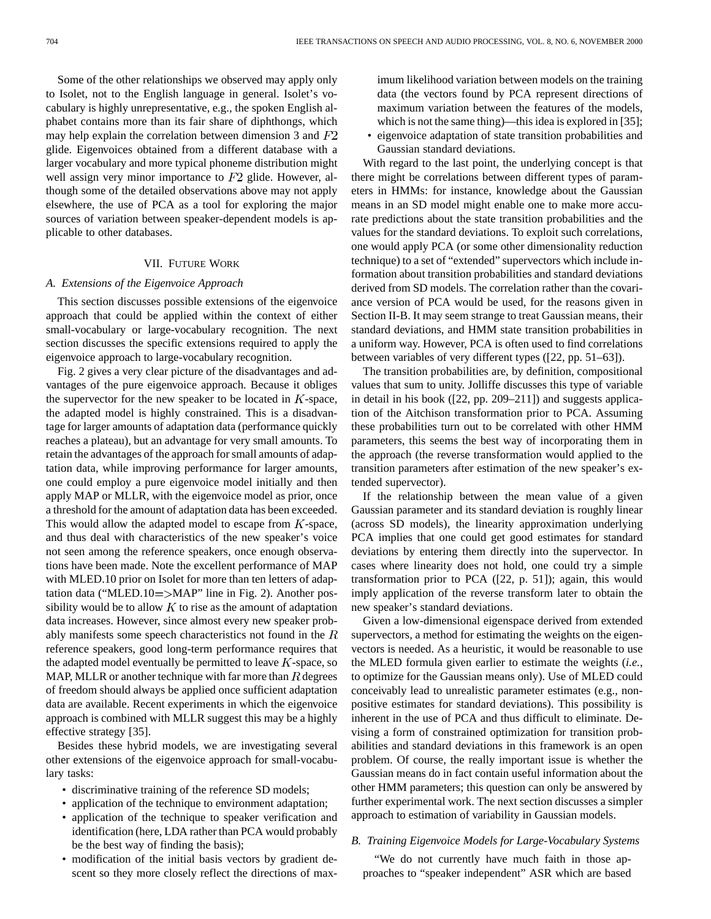Some of the other relationships we observed may apply only to Isolet, not to the English language in general. Isolet's vocabulary is highly unrepresentative, e.g., the spoken English alphabet contains more than its fair share of diphthongs, which may help explain the correlation between dimension 3 and  $F2$ glide. Eigenvoices obtained from a different database with a larger vocabulary and more typical phoneme distribution might well assign very minor importance to  $F2$  glide. However, although some of the detailed observations above may not apply elsewhere, the use of PCA as a tool for exploring the major sources of variation between speaker-dependent models is applicable to other databases.

# VII. FUTURE WORK

## *A. Extensions of the Eigenvoice Approach*

This section discusses possible extensions of the eigenvoice approach that could be applied within the context of either small-vocabulary or large-vocabulary recognition. The next section discusses the specific extensions required to apply the eigenvoice approach to large-vocabulary recognition.

Fig. 2 gives a very clear picture of the disadvantages and advantages of the pure eigenvoice approach. Because it obliges the supervector for the new speaker to be located in  $K$ -space, the adapted model is highly constrained. This is a disadvantage for larger amounts of adaptation data (performance quickly reaches a plateau), but an advantage for very small amounts. To retain the advantages of the approach for small amounts of adaptation data, while improving performance for larger amounts, one could employ a pure eigenvoice model initially and then apply MAP or MLLR, with the eigenvoice model as prior, once a threshold for the amount of adaptation data has been exceeded. This would allow the adapted model to escape from  $K$ -space, and thus deal with characteristics of the new speaker's voice not seen among the reference speakers, once enough observations have been made. Note the excellent performance of MAP with MLED.10 prior on Isolet for more than ten letters of adaptation data ("MLED.10 $\Rightarrow$ MAP" line in Fig. 2). Another possibility would be to allow  $K$  to rise as the amount of adaptation data increases. However, since almost every new speaker probably manifests some speech characteristics not found in the  $R$ reference speakers, good long-term performance requires that the adapted model eventually be permitted to leave  $K$ -space, so MAP, MLLR or another technique with far more than  $R$  degrees of freedom should always be applied once sufficient adaptation data are available. Recent experiments in which the eigenvoice approach is combined with MLLR suggest this may be a highly effective strategy [35].

Besides these hybrid models, we are investigating several other extensions of the eigenvoice approach for small-vocabulary tasks:

- discriminative training of the reference SD models;
- application of the technique to environment adaptation;
- application of the technique to speaker verification and identification (here, LDA rather than PCA would probably be the best way of finding the basis);
- modification of the initial basis vectors by gradient descent so they more closely reflect the directions of max-

imum likelihood variation between models on the training data (the vectors found by PCA represent directions of maximum variation between the features of the models, which is not the same thing)—this idea is explored in [35];

• eigenvoice adaptation of state transition probabilities and Gaussian standard deviations.

With regard to the last point, the underlying concept is that there might be correlations between different types of parameters in HMMs: for instance, knowledge about the Gaussian means in an SD model might enable one to make more accurate predictions about the state transition probabilities and the values for the standard deviations. To exploit such correlations, one would apply PCA (or some other dimensionality reduction technique) to a set of "extended" supervectors which include information about transition probabilities and standard deviations derived from SD models. The correlation rather than the covariance version of PCA would be used, for the reasons given in Section II-B. It may seem strange to treat Gaussian means, their standard deviations, and HMM state transition probabilities in a uniform way. However, PCA is often used to find correlations between variables of very different types ([22, pp. 51–63]).

The transition probabilities are, by definition, compositional values that sum to unity. Jolliffe discusses this type of variable in detail in his book ([22, pp. 209–211]) and suggests application of the Aitchison transformation prior to PCA. Assuming these probabilities turn out to be correlated with other HMM parameters, this seems the best way of incorporating them in the approach (the reverse transformation would applied to the transition parameters after estimation of the new speaker's extended supervector).

If the relationship between the mean value of a given Gaussian parameter and its standard deviation is roughly linear (across SD models), the linearity approximation underlying PCA implies that one could get good estimates for standard deviations by entering them directly into the supervector. In cases where linearity does not hold, one could try a simple transformation prior to PCA ([22, p. 51]); again, this would imply application of the reverse transform later to obtain the new speaker's standard deviations.

Given a low-dimensional eigenspace derived from extended supervectors, a method for estimating the weights on the eigenvectors is needed. As a heuristic, it would be reasonable to use the MLED formula given earlier to estimate the weights (*i.e.*, to optimize for the Gaussian means only). Use of MLED could conceivably lead to unrealistic parameter estimates (e.g., nonpositive estimates for standard deviations). This possibility is inherent in the use of PCA and thus difficult to eliminate. Devising a form of constrained optimization for transition probabilities and standard deviations in this framework is an open problem. Of course, the really important issue is whether the Gaussian means do in fact contain useful information about the other HMM parameters; this question can only be answered by further experimental work. The next section discusses a simpler approach to estimation of variability in Gaussian models.

## *B. Training Eigenvoice Models for Large-Vocabulary Systems*

"We do not currently have much faith in those approaches to "speaker independent" ASR which are based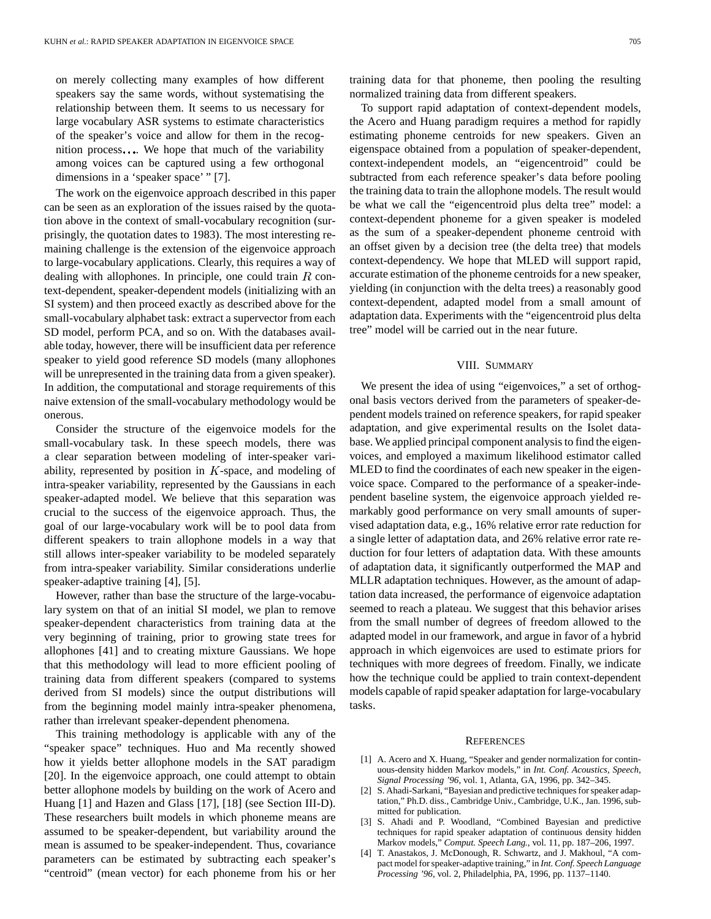on merely collecting many examples of how different speakers say the same words, without systematising the relationship between them. It seems to us necessary for large vocabulary ASR systems to estimate characteristics of the speaker's voice and allow for them in the recognition process.... We hope that much of the variability among voices can be captured using a few orthogonal dimensions in a 'speaker space' " [7].

The work on the eigenvoice approach described in this paper can be seen as an exploration of the issues raised by the quotation above in the context of small-vocabulary recognition (surprisingly, the quotation dates to 1983). The most interesting remaining challenge is the extension of the eigenvoice approach to large-vocabulary applications. Clearly, this requires a way of dealing with allophones. In principle, one could train  $R$  context-dependent, speaker-dependent models (initializing with an SI system) and then proceed exactly as described above for the small-vocabulary alphabet task: extract a supervector from each SD model, perform PCA, and so on. With the databases available today, however, there will be insufficient data per reference speaker to yield good reference SD models (many allophones will be unrepresented in the training data from a given speaker). In addition, the computational and storage requirements of this naive extension of the small-vocabulary methodology would be onerous.

Consider the structure of the eigenvoice models for the small-vocabulary task. In these speech models, there was a clear separation between modeling of inter-speaker variability, represented by position in  $K$ -space, and modeling of intra-speaker variability, represented by the Gaussians in each speaker-adapted model. We believe that this separation was crucial to the success of the eigenvoice approach. Thus, the goal of our large-vocabulary work will be to pool data from different speakers to train allophone models in a way that still allows inter-speaker variability to be modeled separately from intra-speaker variability. Similar considerations underlie speaker-adaptive training [4], [5].

However, rather than base the structure of the large-vocabulary system on that of an initial SI model, we plan to remove speaker-dependent characteristics from training data at the very beginning of training, prior to growing state trees for allophones [41] and to creating mixture Gaussians. We hope that this methodology will lead to more efficient pooling of training data from different speakers (compared to systems derived from SI models) since the output distributions will from the beginning model mainly intra-speaker phenomena, rather than irrelevant speaker-dependent phenomena.

This training methodology is applicable with any of the "speaker space" techniques. Huo and Ma recently showed how it yields better allophone models in the SAT paradigm [20]. In the eigenvoice approach, one could attempt to obtain better allophone models by building on the work of Acero and Huang [1] and Hazen and Glass [17], [18] (see Section III-D). These researchers built models in which phoneme means are assumed to be speaker-dependent, but variability around the mean is assumed to be speaker-independent. Thus, covariance parameters can be estimated by subtracting each speaker's "centroid" (mean vector) for each phoneme from his or her training data for that phoneme, then pooling the resulting normalized training data from different speakers.

To support rapid adaptation of context-dependent models, the Acero and Huang paradigm requires a method for rapidly estimating phoneme centroids for new speakers. Given an eigenspace obtained from a population of speaker-dependent, context-independent models, an "eigencentroid" could be subtracted from each reference speaker's data before pooling the training data to train the allophone models. The result would be what we call the "eigencentroid plus delta tree" model: a context-dependent phoneme for a given speaker is modeled as the sum of a speaker-dependent phoneme centroid with an offset given by a decision tree (the delta tree) that models context-dependency. We hope that MLED will support rapid, accurate estimation of the phoneme centroids for a new speaker, yielding (in conjunction with the delta trees) a reasonably good context-dependent, adapted model from a small amount of adaptation data. Experiments with the "eigencentroid plus delta tree" model will be carried out in the near future.

## VIII. SUMMARY

We present the idea of using "eigenvoices," a set of orthogonal basis vectors derived from the parameters of speaker-dependent models trained on reference speakers, for rapid speaker adaptation, and give experimental results on the Isolet database. We applied principal component analysis to find the eigenvoices, and employed a maximum likelihood estimator called MLED to find the coordinates of each new speaker in the eigenvoice space. Compared to the performance of a speaker-independent baseline system, the eigenvoice approach yielded remarkably good performance on very small amounts of supervised adaptation data, e.g., 16% relative error rate reduction for a single letter of adaptation data, and 26% relative error rate reduction for four letters of adaptation data. With these amounts of adaptation data, it significantly outperformed the MAP and MLLR adaptation techniques. However, as the amount of adaptation data increased, the performance of eigenvoice adaptation seemed to reach a plateau. We suggest that this behavior arises from the small number of degrees of freedom allowed to the adapted model in our framework, and argue in favor of a hybrid approach in which eigenvoices are used to estimate priors for techniques with more degrees of freedom. Finally, we indicate how the technique could be applied to train context-dependent models capable of rapid speaker adaptation for large-vocabulary tasks.

#### **REFERENCES**

- [1] A. Acero and X. Huang, "Speaker and gender normalization for continuous-density hidden Markov models," in *Int. Conf. Acoustics, Speech, Signal Processing '96*, vol. 1, Atlanta, GA, 1996, pp. 342–345.
- [2] S. Ahadi-Sarkani, "Bayesian and predictive techniques for speaker adaptation," Ph.D. diss., Cambridge Univ., Cambridge, U.K., Jan. 1996, submitted for publication.
- [3] S. Ahadi and P. Woodland, "Combined Bayesian and predictive techniques for rapid speaker adaptation of continuous density hidden Markov models," *Comput. Speech Lang.*, vol. 11, pp. 187–206, 1997.
- [4] T. Anastakos, J. McDonough, R. Schwartz, and J. Makhoul, "A compact model for speaker-adaptive training," in *Int. Conf. Speech Language Processing '96*, vol. 2, Philadelphia, PA, 1996, pp. 1137–1140.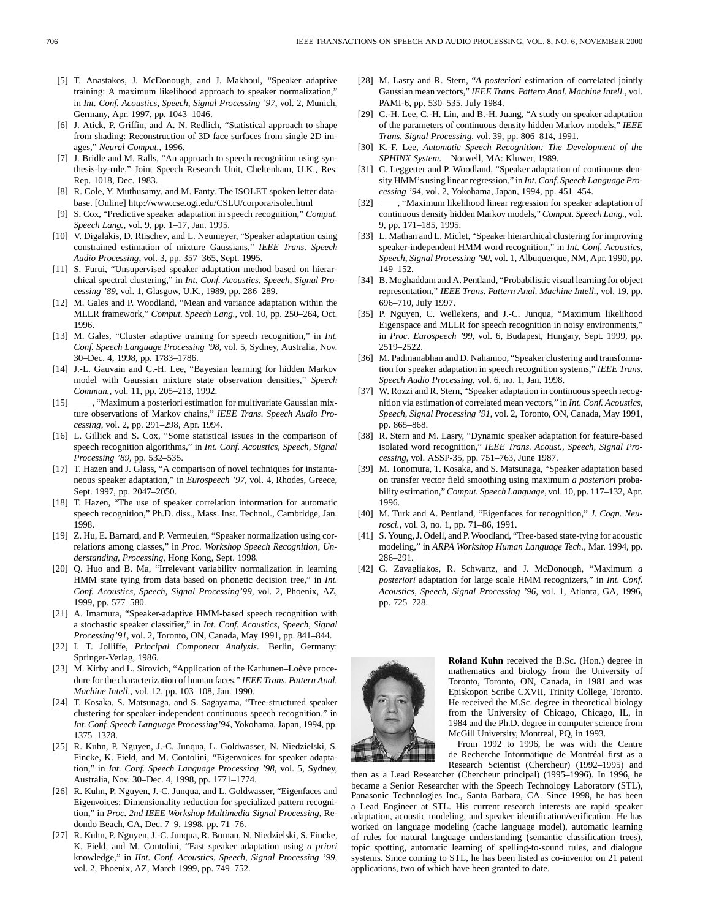- [5] T. Anastakos, J. McDonough, and J. Makhoul, "Speaker adaptive training: A maximum likelihood approach to speaker normalization," in *Int. Conf. Acoustics, Speech, Signal Processing '97*, vol. 2, Munich, Germany, Apr. 1997, pp. 1043–1046.
- [6] J. Atick, P. Griffin, and A. N. Redlich, "Statistical approach to shape from shading: Reconstruction of 3D face surfaces from single 2D images," *Neural Comput.*, 1996.
- [7] J. Bridle and M. Ralls, "An approach to speech recognition using synthesis-by-rule," Joint Speech Research Unit, Cheltenham, U.K., Res. Rep. 1018, Dec. 1983.
- [8] R. Cole, Y. Muthusamy, and M. Fanty. The ISOLET spoken letter database. [Online] http://www.cse.ogi.edu/CSLU/corpora/isolet.html
- [9] S. Cox, "Predictive speaker adaptation in speech recognition," *Comput. Speech Lang.*, vol. 9, pp. 1–17, Jan. 1995.
- [10] V. Digalakis, D. Rtischev, and L. Neumeyer, "Speaker adaptation using constrained estimation of mixture Gaussians," *IEEE Trans. Speech Audio Processing*, vol. 3, pp. 357–365, Sept. 1995.
- [11] S. Furui, "Unsupervised speaker adaptation method based on hierarchical spectral clustering," in *Int. Conf. Acoustics, Speech, Signal Processing '89*, vol. 1, Glasgow, U.K., 1989, pp. 286–289.
- [12] M. Gales and P. Woodland, "Mean and variance adaptation within the MLLR framework," *Comput. Speech Lang.*, vol. 10, pp. 250–264, Oct. 1996.
- [13] M. Gales, "Cluster adaptive training for speech recognition," in *Int. Conf. Speech Language Processing '98*, vol. 5, Sydney, Australia, Nov. 30–Dec. 4, 1998, pp. 1783–1786.
- [14] J.-L. Gauvain and C.-H. Lee, "Bayesian learning for hidden Markov model with Gaussian mixture state observation densities," *Speech Commun.*, vol. 11, pp. 205–213, 1992.
- [15] -, "Maximum a posteriori estimation for multivariate Gaussian mixture observations of Markov chains," *IEEE Trans. Speech Audio Processing*, vol. 2, pp. 291–298, Apr. 1994.
- [16] L. Gillick and S. Cox, "Some statistical issues in the comparison of speech recognition algorithms," in *Int. Conf. Acoustics, Speech, Signal Processing '89*, pp. 532–535.
- [17] T. Hazen and J. Glass, "A comparison of novel techniques for instantaneous speaker adaptation," in *Eurospeech '97*, vol. 4, Rhodes, Greece, Sept. 1997, pp. 2047–2050.
- [18] T. Hazen, "The use of speaker correlation information for automatic speech recognition," Ph.D. diss., Mass. Inst. Technol., Cambridge, Jan. 1998.
- [19] Z. Hu, E. Barnard, and P. Vermeulen, "Speaker normalization using correlations among classes," in *Proc. Workshop Speech Recognition, Understanding, Processing*, Hong Kong, Sept. 1998.
- [20] Q. Huo and B. Ma, "Irrelevant variability normalization in learning HMM state tying from data based on phonetic decision tree," in *Int. Conf. Acoustics, Speech, Signal Processing'99*, vol. 2, Phoenix, AZ, 1999, pp. 577–580.
- [21] A. Imamura, "Speaker-adaptive HMM-based speech recognition with a stochastic speaker classifier," in *Int. Conf. Acoustics, Speech, Signal Processing'91*, vol. 2, Toronto, ON, Canada, May 1991, pp. 841–844.
- [22] I. T. Jolliffe, *Principal Component Analysis*. Berlin, Germany: Springer-Verlag, 1986.
- [23] M. Kirby and L. Sirovich, "Application of the Karhunen–Loève procedure for the characterization of human faces," *IEEE Trans. Pattern Anal. Machine Intell.*, vol. 12, pp. 103–108, Jan. 1990.
- [24] T. Kosaka, S. Matsunaga, and S. Sagayama, "Tree-structured speaker clustering for speaker-independent continuous speech recognition," in *Int. Conf. Speech Language Processing'94*, Yokohama, Japan, 1994, pp. 1375–1378.
- [25] R. Kuhn, P. Nguyen, J.-C. Junqua, L. Goldwasser, N. Niedzielski, S. Fincke, K. Field, and M. Contolini, "Eigenvoices for speaker adaptation," in *Int. Conf. Speech Language Processing '98*, vol. 5, Sydney, Australia, Nov. 30–Dec. 4, 1998, pp. 1771–1774.
- [26] R. Kuhn, P. Nguyen, J.-C. Junqua, and L. Goldwasser, "Eigenfaces and Eigenvoices: Dimensionality reduction for specialized pattern recognition," in *Proc. 2nd IEEE Workshop Multimedia Signal Processing*, Redondo Beach, CA, Dec. 7–9, 1998, pp. 71–76.
- [27] R. Kuhn, P. Nguyen, J.-C. Junqua, R. Boman, N. Niedzielski, S. Fincke, K. Field, and M. Contolini, "Fast speaker adaptation using *a priori* knowledge," in *IInt. Conf. Acoustics, Speech, Signal Processing '99*, vol. 2, Phoenix, AZ, March 1999, pp. 749–752.
- [28] M. Lasry and R. Stern, "*A posteriori* estimation of correlated jointly Gaussian mean vectors," *IEEE Trans. Pattern Anal. Machine Intell.*, vol. PAMI-6, pp. 530–535, July 1984.
- [29] C.-H. Lee, C.-H. Lin, and B.-H. Juang, "A study on speaker adaptation of the parameters of continuous density hidden Markov models," *IEEE Trans. Signal Processing*, vol. 39, pp. 806–814, 1991.
- [30] K.-F. Lee, *Automatic Speech Recognition: The Development of the SPHINX System*. Norwell, MA: Kluwer, 1989.
- [31] C. Leggetter and P. Woodland, "Speaker adaptation of continuous density HMM's using linear regression," in *Int. Conf. Speech Language Processing '94*, vol. 2, Yokohama, Japan, 1994, pp. 451–454.
- [32]  $\frac{1}{2}$ , "Maximum likelihood linear regression for speaker adaptation of continuous density hidden Markov models," *Comput. Speech Lang.*, vol. 9, pp. 171–185, 1995.
- [33] L. Mathan and L. Miclet, "Speaker hierarchical clustering for improving speaker-independent HMM word recognition," in *Int. Conf. Acoustics, Speech, Signal Processing '90*, vol. 1, Albuquerque, NM, Apr. 1990, pp. 149–152.
- [34] B. Moghaddam and A. Pentland, "Probabilistic visual learning for object representation," *IEEE Trans. Pattern Anal. Machine Intell.*, vol. 19, pp. 696–710, July 1997.
- [35] P. Nguyen, C. Wellekens, and J.-C. Junqua, "Maximum likelihood Eigenspace and MLLR for speech recognition in noisy environments," in *Proc. Eurospeech '99*, vol. 6, Budapest, Hungary, Sept. 1999, pp. 2519–2522.
- [36] M. Padmanabhan and D. Nahamoo, "Speaker clustering and transformation for speaker adaptation in speech recognition systems," *IEEE Trans. Speech Audio Processing*, vol. 6, no. 1, Jan. 1998.
- [37] W. Rozzi and R. Stern, "Speaker adaptation in continuous speech recognition via estimation of correlated mean vectors," in *Int. Conf. Acoustics, Speech, Signal Processing '91*, vol. 2, Toronto, ON, Canada, May 1991, pp. 865–868.
- [38] R. Stern and M. Lasry, "Dynamic speaker adaptation for feature-based isolated word recognition," *IEEE Trans. Acoust., Speech, Signal Processing*, vol. ASSP-35, pp. 751–763, June 1987.
- [39] M. Tonomura, T. Kosaka, and S. Matsunaga, "Speaker adaptation based on transfer vector field smoothing using maximum *a posteriori* probability estimation," *Comput. Speech Language*, vol. 10, pp. 117–132, Apr. 1996.
- [40] M. Turk and A. Pentland, "Eigenfaces for recognition," *J. Cogn. Neurosci.*, vol. 3, no. 1, pp. 71–86, 1991.
- [41] S. Young, J. Odell, and P. Woodland, "Tree-based state-tying for acoustic modeling," in *ARPA Workshop Human Language Tech.*, Mar. 1994, pp. 286–291.
- [42] G. Zavagliakos, R. Schwartz, and J. McDonough, "Maximum *a posteriori* adaptation for large scale HMM recognizers," in *Int. Conf. Acoustics, Speech, Signal Processing '96*, vol. 1, Atlanta, GA, 1996, pp. 725–728.



**Roland Kuhn** received the B.Sc. (Hon.) degree in mathematics and biology from the University of Toronto, Toronto, ON, Canada, in 1981 and was Episkopon Scribe CXVII, Trinity College, Toronto. He received the M.Sc. degree in theoretical biology from the University of Chicago, Chicago, IL, in 1984 and the Ph.D. degree in computer science from McGill University, Montreal, PQ, in 1993.

From 1992 to 1996, he was with the Centre de Recherche Informatique de Montréal first as a Research Scientist (Chercheur) (1992–1995) and

then as a Lead Researcher (Chercheur principal) (1995–1996). In 1996, he became a Senior Researcher with the Speech Technology Laboratory (STL), Panasonic Technologies Inc., Santa Barbara, CA. Since 1998, he has been a Lead Engineer at STL. His current research interests are rapid speaker adaptation, acoustic modeling, and speaker identification/verification. He has worked on language modeling (cache language model), automatic learning of rules for natural language understanding (semantic classification trees), topic spotting, automatic learning of spelling-to-sound rules, and dialogue systems. Since coming to STL, he has been listed as co-inventor on 21 patent applications, two of which have been granted to date.